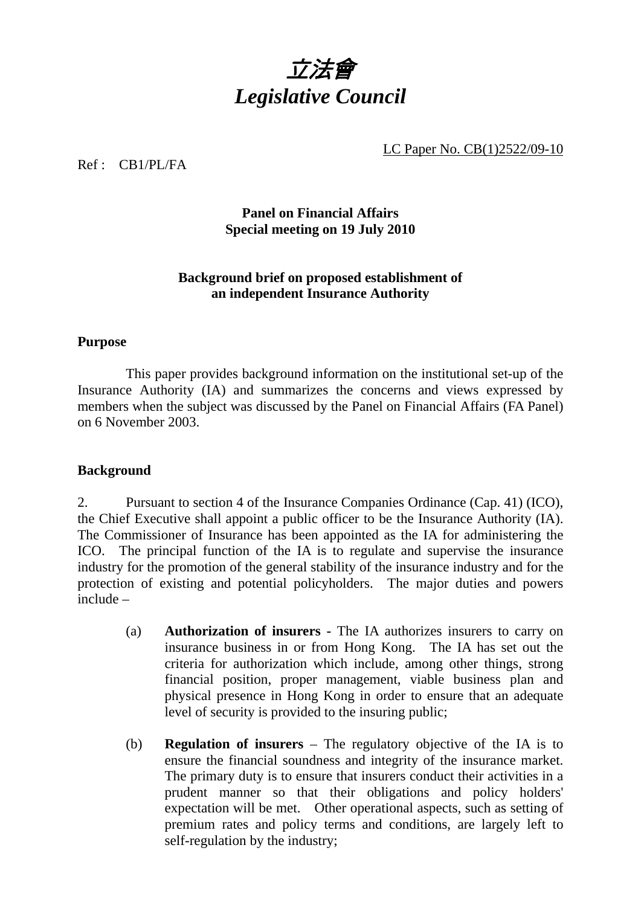

LC Paper No. CB(1)2522/09-10

#### Ref : CB1/PL/FA

## **Panel on Financial Affairs Special meeting on 19 July 2010**

### **Background brief on proposed establishment of an independent Insurance Authority**

#### **Purpose**

1. This paper provides background information on the institutional set-up of the Insurance Authority (IA) and summarizes the concerns and views expressed by members when the subject was discussed by the Panel on Financial Affairs (FA Panel) on 6 November 2003.

#### **Background**

2. Pursuant to section 4 of the Insurance Companies Ordinance (Cap. 41) (ICO), the Chief Executive shall appoint a public officer to be the Insurance Authority (IA). The Commissioner of Insurance has been appointed as the IA for administering the ICO. The principal function of the IA is to regulate and supervise the insurance industry for the promotion of the general stability of the insurance industry and for the protection of existing and potential policyholders. The major duties and powers include –

- (a) **Authorization of insurers -** The IA authorizes insurers to carry on insurance business in or from Hong Kong. The IA has set out the criteria for authorization which include, among other things, strong financial position, proper management, viable business plan and physical presence in Hong Kong in order to ensure that an adequate level of security is provided to the insuring public;
- (b) **Regulation of insurers** The regulatory objective of the IA is to ensure the financial soundness and integrity of the insurance market. The primary duty is to ensure that insurers conduct their activities in a prudent manner so that their obligations and policy holders' expectation will be met. Other operational aspects, such as setting of premium rates and policy terms and conditions, are largely left to self-regulation by the industry;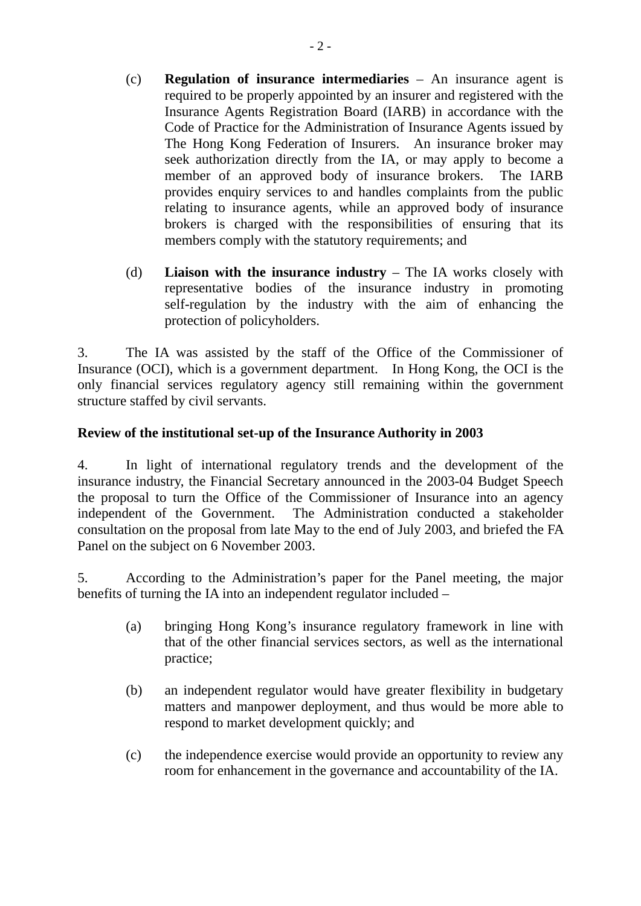- (c) **Regulation of insurance intermediaries** An insurance agent is required to be properly appointed by an insurer and registered with the Insurance Agents Registration Board (IARB) in accordance with the Code of Practice for the Administration of Insurance Agents issued by The Hong Kong Federation of Insurers. An insurance broker may seek authorization directly from the IA, or may apply to become a member of an approved body of insurance brokers. The IARB provides enquiry services to and handles complaints from the public relating to insurance agents, while an approved body of insurance brokers is charged with the responsibilities of ensuring that its members comply with the statutory requirements; and
- (d) **Liaison with the insurance industry** The IA works closely with representative bodies of the insurance industry in promoting self-regulation by the industry with the aim of enhancing the protection of policyholders.

3. The IA was assisted by the staff of the Office of the Commissioner of Insurance (OCI), which is a government department. In Hong Kong, the OCI is the only financial services regulatory agency still remaining within the government structure staffed by civil servants.

# **Review of the institutional set-up of the Insurance Authority in 2003**

4. In light of international regulatory trends and the development of the insurance industry, the Financial Secretary announced in the 2003-04 Budget Speech the proposal to turn the Office of the Commissioner of Insurance into an agency independent of the Government. The Administration conducted a stakeholder consultation on the proposal from late May to the end of July 2003, and briefed the FA Panel on the subject on 6 November 2003.

5. According to the Administration's paper for the Panel meeting, the major benefits of turning the IA into an independent regulator included –

- (a) bringing Hong Kong's insurance regulatory framework in line with that of the other financial services sectors, as well as the international practice;
- (b) an independent regulator would have greater flexibility in budgetary matters and manpower deployment, and thus would be more able to respond to market development quickly; and
- (c) the independence exercise would provide an opportunity to review any room for enhancement in the governance and accountability of the IA.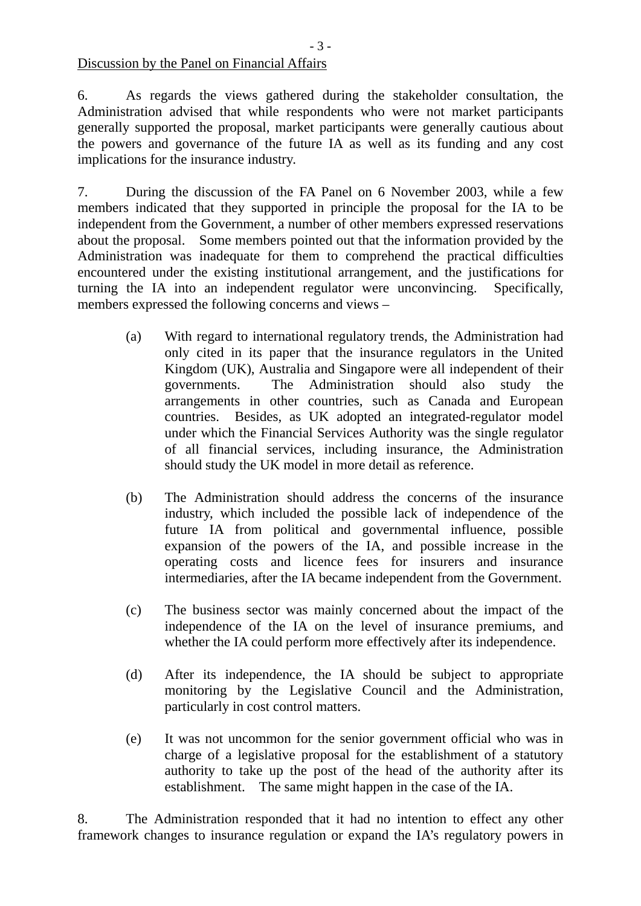Discussion by the Panel on Financial Affairs

6. As regards the views gathered during the stakeholder consultation, the Administration advised that while respondents who were not market participants generally supported the proposal, market participants were generally cautious about the powers and governance of the future IA as well as its funding and any cost implications for the insurance industry.

7. During the discussion of the FA Panel on 6 November 2003, while a few members indicated that they supported in principle the proposal for the IA to be independent from the Government, a number of other members expressed reservations about the proposal. Some members pointed out that the information provided by the Administration was inadequate for them to comprehend the practical difficulties encountered under the existing institutional arrangement, and the justifications for turning the IA into an independent regulator were unconvincing. Specifically, members expressed the following concerns and views –

- (a) With regard to international regulatory trends, the Administration had only cited in its paper that the insurance regulators in the United Kingdom (UK), Australia and Singapore were all independent of their governments. The Administration should also study the arrangements in other countries, such as Canada and European countries. Besides, as UK adopted an integrated-regulator model under which the Financial Services Authority was the single regulator of all financial services, including insurance, the Administration should study the UK model in more detail as reference.
- (b) The Administration should address the concerns of the insurance industry, which included the possible lack of independence of the future IA from political and governmental influence, possible expansion of the powers of the IA, and possible increase in the operating costs and licence fees for insurers and insurance intermediaries, after the IA became independent from the Government.
- (c) The business sector was mainly concerned about the impact of the independence of the IA on the level of insurance premiums, and whether the IA could perform more effectively after its independence.
- (d) After its independence, the IA should be subject to appropriate monitoring by the Legislative Council and the Administration, particularly in cost control matters.
- (e) It was not uncommon for the senior government official who was in charge of a legislative proposal for the establishment of a statutory authority to take up the post of the head of the authority after its establishment. The same might happen in the case of the IA.

8. The Administration responded that it had no intention to effect any other framework changes to insurance regulation or expand the IA's regulatory powers in